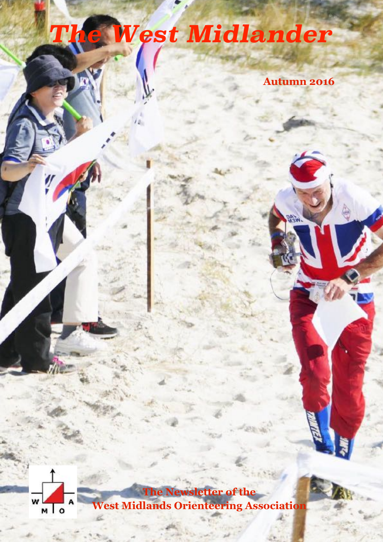# *The West Midlander*

**Autumn 2016**



**The Newsletter of the West Midlands Orienteering Association**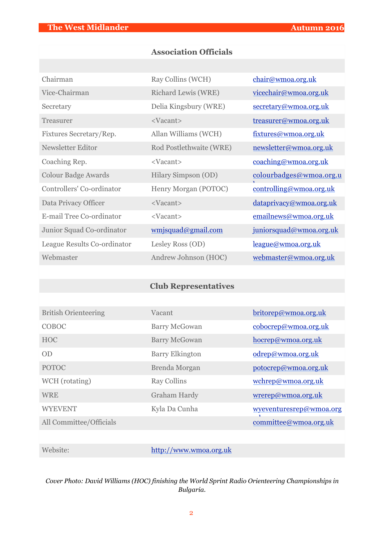## **Association Officials**

| Chairman                    | Ray Collins (WCH)       | chair@wmoa.org.uk       |
|-----------------------------|-------------------------|-------------------------|
| Vice-Chairman               | Richard Lewis (WRE)     | vicechair@wmoa.org.uk   |
| Secretary                   | Delia Kingsbury (WRE)   | secretary@wmoa.org.uk   |
| Treasurer                   | <vacant></vacant>       | treasurer@wmoa.org.uk   |
| Fixtures Secretary/Rep.     | Allan Williams (WCH)    | fixtures@wmoa.org.uk    |
| Newsletter Editor           | Rod Postlethwaite (WRE) | newsletter@wmoa.org.uk  |
| Coaching Rep.               | <vacant></vacant>       | coaching@wmoa.org.uk    |
| <b>Colour Badge Awards</b>  | Hilary Simpson (OD)     | colourbadges@wmoa.org.u |
| Controllers' Co-ordinator   | Henry Morgan (POTOC)    | controlling@wmoa.org.uk |
| Data Privacy Officer        | <vacant></vacant>       | dataprivacy@wmoa.org.uk |
| E-mail Tree Co-ordinator    | <vacant></vacant>       | emailnews@wmoa.org.uk   |
| Junior Squad Co-ordinator   | wmjsquad@gmail.com      | juniorsquad@wmoa.org.uk |
| League Results Co-ordinator | Lesley Ross (OD)        | league@wmoa.org.uk      |
| Webmaster                   | Andrew Johnson (HOC)    | webmaster@wmoa.org.uk   |

## **Club Representatives**

| <b>British Orienteering</b> | Vacant                 | britorep@wmoa.org.uk    |
|-----------------------------|------------------------|-------------------------|
| COBOC                       | <b>Barry McGowan</b>   | cobocrep@wmoa.org.uk    |
| <b>HOC</b>                  | <b>Barry McGowan</b>   | hocrep@wmoa.org.uk      |
| OD                          | <b>Barry Elkington</b> | odrep@wmoa.org.uk       |
| <b>POTOC</b>                | Brenda Morgan          | potocrep@wmoa.org.uk    |
| WCH (rotating)              | Ray Collins            | wchrep@wmoa.org.uk      |
| <b>WRE</b>                  | <b>Graham Hardy</b>    | wrerep@wmoa.org.uk      |
| <b>WYEVENT</b>              | Kyla Da Cunha          | wyeventuresrep@wmoa.org |
| All Committee/Officials     |                        | committee@wmoa.org.uk   |

Website: <http://www.wmoa.org.uk>

*Cover Photo: David Williams (HOC) finishing the World Sprint Radio Orienteering Championships in Bulgaria.*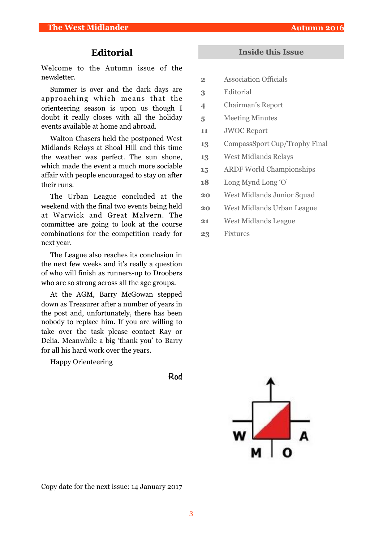## **Editorial**

Welcome to the Autumn issue of the newsletter.

Summer is over and the dark days are approaching which means that the orienteering season is upon us though I doubt it really closes with all the holiday events available at home and abroad.

Walton Chasers held the postponed West Midlands Relays at Shoal Hill and this time the weather was perfect. The sun shone, which made the event a much more sociable affair with people encouraged to stay on after their runs.

The Urban League concluded at the weekend with the final two events being held at Warwick and Great Malvern. The committee are going to look at the course combinations for the competition ready for next year.

The League also reaches its conclusion in the next few weeks and it's really a question of who will finish as runners-up to Droobers who are so strong across all the age groups.

At the AGM, Barry McGowan stepped down as Treasurer after a number of years in the post and, unfortunately, there has been nobody to replace him. If you are willing to take over the task please contact Ray or Delia. Meanwhile a big 'thank you' to Barry for all his hard work over the years.

Happy Orienteering

#### **Inside this Issue**

- **2** Association Officials
- **3** Editorial
- **4** Chairman's Report
- **5** Meeting Minutes
- **11** JWOC Report
- **13** CompassSport Cup/Trophy Final
- **13** West Midlands Relays
- **15** ARDF World Championships
- **18** Long Mynd Long 'O'
- **20** West Midlands Junior Squad
- **20** West Midlands Urban League
- **21** West Midlands League
- **23** Fixtures



Copy date for the next issue: 14 January 2017

**Rod**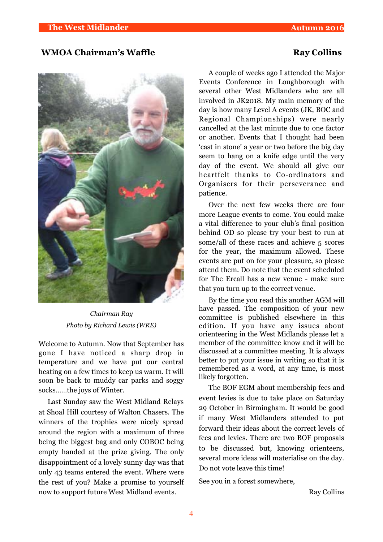#### **WMOA Chairman's Waffle Ray Collins**

*Chairman Ray Photo by Richard Lewis (WRE)*

Welcome to Autumn. Now that September has gone I have noticed a sharp drop in temperature and we have put our central heating on a few times to keep us warm. It will soon be back to muddy car parks and soggy socks……the joys of Winter.

Last Sunday saw the West Midland Relays at Shoal Hill courtesy of Walton Chasers. The winners of the trophies were nicely spread around the region with a maximum of three being the biggest bag and only COBOC being empty handed at the prize giving. The only disappointment of a lovely sunny day was that only 43 teams entered the event. Where were the rest of you? Make a promise to yourself now to support future West Midland events.

A couple of weeks ago I attended the Major Events Conference in Loughborough with several other West Midlanders who are all involved in JK2018. My main memory of the day is how many Level A events (JK, BOC and Regional Championships) were nearly cancelled at the last minute due to one factor or another. Events that I thought had been 'cast in stone' a year or two before the big day seem to hang on a knife edge until the very day of the event. We should all give our heartfelt thanks to Co-ordinators and Organisers for their perseverance and patience.

Over the next few weeks there are four more League events to come. You could make a vital difference to your club's final position behind OD so please try your best to run at some/all of these races and achieve 5 scores for the year, the maximum allowed. These events are put on for your pleasure, so please attend them. Do note that the event scheduled for The Ercall has a new venue - make sure that you turn up to the correct venue.

By the time you read this another AGM will have passed. The composition of your new committee is published elsewhere in this edition. If you have any issues about orienteering in the West Midlands please let a member of the committee know and it will be discussed at a committee meeting. It is always better to put your issue in writing so that it is remembered as a word, at any time, is most likely forgotten.

The BOF EGM about membership fees and event levies is due to take place on Saturday 29 October in Birmingham. It would be good if many West Midlanders attended to put forward their ideas about the correct levels of fees and levies. There are two BOF proposals to be discussed but, knowing orienteers, several more ideas will materialise on the day. Do not vote leave this time!

See you in a forest somewhere,

Ray Collins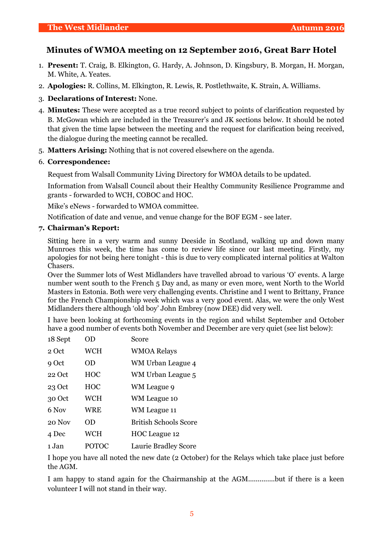## **Minutes of WMOA meeting on 12 September 2016, Great Barr Hotel**

- 1. **Present:** T. Craig, B. Elkington, G. Hardy, A. Johnson, D. Kingsbury, B. Morgan, H. Morgan, M. White, A. Yeates.
- 2. **Apologies:** R. Collins, M. Elkington, R. Lewis, R. Postlethwaite, K. Strain, A. Williams.
- 3. **Declarations of Interest:** None.
- 4. **Minutes:** These were accepted as a true record subject to points of clarification requested by B. McGowan which are included in the Treasurer's and JK sections below. It should be noted that given the time lapse between the meeting and the request for clarification being received, the dialogue during the meeting cannot be recalled.
- 5. **Matters Arising:** Nothing that is not covered elsewhere on the agenda.

#### 6. **Correspondence:**

Request from Walsall Community Living Directory for WMOA details to be updated.

Information from Walsall Council about their Healthy Community Resilience Programme and grants - forwarded to WCH, COBOC and HOC.

Mike's eNews - forwarded to WMOA committee.

Notification of date and venue, and venue change for the BOF EGM - see later.

#### **7. Chairman's Report:**

Sitting here in a very warm and sunny Deeside in Scotland, walking up and down many Munroes this week, the time has come to review life since our last meeting. Firstly, my apologies for not being here tonight - this is due to very complicated internal politics at Walton Chasers.

Over the Summer lots of West Midlanders have travelled abroad to various 'O' events. A large number went south to the French 5 Day and, as many or even more, went North to the World Masters in Estonia. Both were very challenging events. Christine and I went to Brittany, France for the French Championship week which was a very good event. Alas, we were the only West Midlanders there although 'old boy' John Embrey (now DEE) did very well.

I have been looking at forthcoming events in the region and whilst September and October have a good number of events both November and December are very quiet (see list below):

| 18 Sept | OD         | Score                        |
|---------|------------|------------------------------|
| 2 Oct   | <b>WCH</b> | <b>WMOA Relays</b>           |
| 9 Oct   | OD         | WM Urban League 4            |
| 22 Oct  | <b>HOC</b> | WM Urban League 5            |
| 23 Oct  | <b>HOC</b> | WM League 9                  |
| 30 Oct  | <b>WCH</b> | WM League 10                 |
| 6 Nov   | WRE        | WM League 11                 |
| 20 Nov  | OD         | <b>British Schools Score</b> |
| 4 Dec   | <b>WCH</b> | HOC League 12                |
| 1 Jan   | POTOC      | Laurie Bradley Score         |

I hope you have all noted the new date (2 October) for the Relays which take place just before the AGM.

I am happy to stand again for the Chairmanship at the AGM..............but if there is a keen volunteer I will not stand in their way.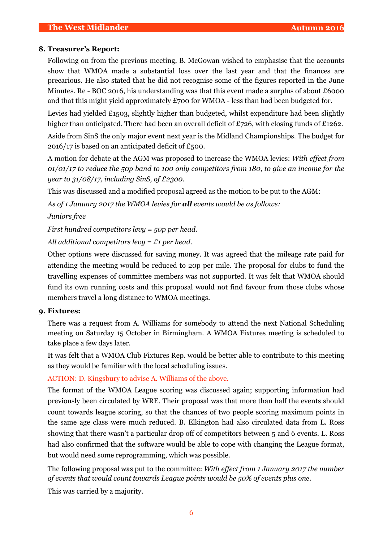#### **8. Treasurer's Report:**

Following on from the previous meeting, B. McGowan wished to emphasise that the accounts show that WMOA made a substantial loss over the last year and that the finances are precarious. He also stated that he did not recognise some of the figures reported in the June Minutes. Re - BOC 2016, his understanding was that this event made a surplus of about £6000 and that this might yield approximately £700 for WMOA - less than had been budgeted for.

Levies had yielded  $£1503$ , slightly higher than budgeted, whilst expenditure had been slightly higher than anticipated. There had been an overall deficit of £726, with closing funds of £1262.

Aside from SinS the only major event next year is the Midland Championships. The budget for 2016/17 is based on an anticipated deficit of £500.

A motion for debate at the AGM was proposed to increase the WMOA levies: *With effect from 01/01/17 to reduce the 50p band to 100 only competitors from 180, to give an income for the year to 31/08/17, including SinS, of £2300.*

This was discussed and a modified proposal agreed as the motion to be put to the AGM:

*As of 1 January 2017 the WMOA levies for all events would be as follows:* 

*Juniors free* 

*First hundred competitors levy = 50p per head.*

*All additional competitors levy = £1 per head.*

Other options were discussed for saving money. It was agreed that the mileage rate paid for attending the meeting would be reduced to 20p per mile. The proposal for clubs to fund the travelling expenses of committee members was not supported. It was felt that WMOA should fund its own running costs and this proposal would not find favour from those clubs whose members travel a long distance to WMOA meetings.

#### **9. Fixtures:**

There was a request from A. Williams for somebody to attend the next National Scheduling meeting on Saturday 15 October in Birmingham. A WMOA Fixtures meeting is scheduled to take place a few days later.

It was felt that a WMOA Club Fixtures Rep. would be better able to contribute to this meeting as they would be familiar with the local scheduling issues.

ACTION: D. Kingsbury to advise A. Williams of the above.

The format of the WMOA League scoring was discussed again; supporting information had previously been circulated by WRE. Their proposal was that more than half the events should count towards league scoring, so that the chances of two people scoring maximum points in the same age class were much reduced. B. Elkington had also circulated data from L. Ross showing that there wasn't a particular drop off of competitors between 5 and 6 events. L. Ross had also confirmed that the software would be able to cope with changing the League format, but would need some reprogramming, which was possible.

The following proposal was put to the committee: *With effect from 1 January 2017 the number of events that would count towards League points would be 50% of events plus one.*

This was carried by a majority.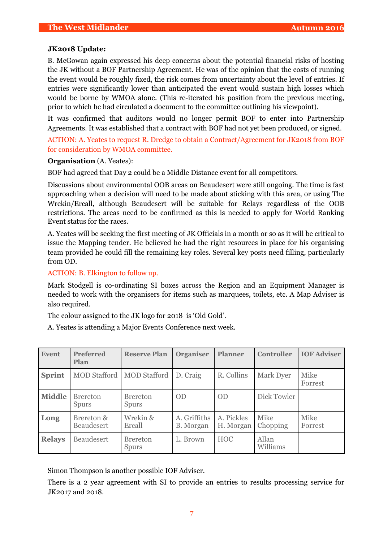#### **JK2018 Update:**

B. McGowan again expressed his deep concerns about the potential financial risks of hosting the JK without a BOF Partnership Agreement. He was of the opinion that the costs of running the event would be roughly fixed, the risk comes from uncertainty about the level of entries. If entries were significantly lower than anticipated the event would sustain high losses which would be borne by WMOA alone. (This re-iterated his position from the previous meeting, prior to which he had circulated a document to the committee outlining his viewpoint).

It was confirmed that auditors would no longer permit BOF to enter into Partnership Agreements. It was established that a contract with BOF had not yet been produced, or signed.

ACTION: A. Yeates to request R. Dredge to obtain a Contract/Agreement for JK2018 from BOF for consideration by WMOA committee.

#### **Organisation** (A. Yeates):

BOF had agreed that Day 2 could be a Middle Distance event for all competitors.

Discussions about environmental OOB areas on Beaudesert were still ongoing. The time is fast approaching when a decision will need to be made about sticking with this area, or using The Wrekin/Ercall, although Beaudesert will be suitable for Relays regardless of the OOB restrictions. The areas need to be confirmed as this is needed to apply for World Ranking Event status for the races.

A. Yeates will be seeking the first meeting of JK Officials in a month or so as it will be critical to issue the Mapping tender. He believed he had the right resources in place for his organising team provided he could fill the remaining key roles. Several key posts need filling, particularly from OD.

ACTION: B. Elkington to follow up.

Mark Stodgell is co-ordinating SI boxes across the Region and an Equipment Manager is needed to work with the organisers for items such as marquees, toilets, etc. A Map Adviser is also required.

The colour assigned to the JK logo for 2018 is 'Old Gold'.

A. Yeates is attending a Major Events Conference next week.

| <b>Event</b>  | <b>Preferred</b><br>Plan        | <b>Reserve Plan</b>             | <b>Organiser</b>          | <b>Planner</b>          | <b>Controller</b> | <b>IOF Adviser</b> |
|---------------|---------------------------------|---------------------------------|---------------------------|-------------------------|-------------------|--------------------|
| <b>Sprint</b> | <b>MOD Stafford</b>             | <b>MOD</b> Stafford             | D. Craig                  | R. Collins              | Mark Dyer         | Mike<br>Forrest    |
| <b>Middle</b> | <b>Brereton</b><br><b>Spurs</b> | <b>Brereton</b><br><b>Spurs</b> | <b>OD</b>                 | <b>OD</b>               | Dick Towler       |                    |
| Long          | Brereton &<br><b>Beaudesert</b> | Wrekin &<br>Ercall              | A. Griffiths<br>B. Morgan | A. Pickles<br>H. Morgan | Mike<br>Chopping  | Mike<br>Forrest    |
| <b>Relays</b> | <b>Beaudesert</b>               | <b>Brereton</b><br><b>Spurs</b> | L. Brown                  | <b>HOC</b>              | Allan<br>Williams |                    |

Simon Thompson is another possible IOF Adviser.

There is a 2 year agreement with SI to provide an entries to results processing service for JK2017 and 2018.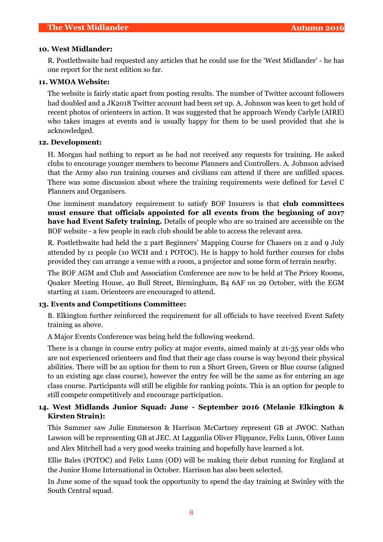#### **10. West Midlander:**

R. Postlethwaite had requested any articles that he could use for the 'West Midlander' - he has one report for the next edition so far.

#### **11. WMOA Website:**

The website is fairly static apart from posting results. The number of Twitter account followers had doubled and a JK2018 Twitter account had been set up. A. Johnson was keen to get hold of recent photos of orienteers in action. It was suggested that he approach Wendy Carlyle (AIRE) who takes images at events and is usually happy for them to be used provided that she is acknowledged.

#### **12. Development:**

H. Morgan had nothing to report as he had not received any requests for training. He asked clubs to encourage younger members to become Planners and Controllers. A. Johnson advised that the Army also run training courses and civilians can attend if there are unfilled spaces. There was some discussion about where the training requirements were defined for Level C Planners and Organisers.

One imminent mandatory requirement to satisfy BOF Insurers is that **club committees must ensure that officials appointed for all events from the beginning of 2017 have had Event Safety training.** Details of people who are so trained are accessible on the BOF website - a few people in each club should be able to access the relevant area.

R. Postlethwaite had held the 2 part Beginners' Mapping Course for Chasers on 2 and 9 July attended by 11 people (10 WCH and 1 POTOC). He is happy to hold further courses for clubs provided they can arrange a venue with a room, a projector and some form of terrain nearby.

The BOF AGM and Club and Association Conference are now to be held at The Priory Rooms, Quaker Meeting House, 40 Bull Street, Birmingham, B4 6AF on 29 October, with the EGM starting at 11am. Orienteers are encouraged to attend.

#### **13. Events and Competitions Committee:**

B. Elkington further reinforced the requirement for all officials to have received Event Safety training as above.

A Major Events Conference was being held the following weekend.

There is a change in course entry policy at major events, aimed mainly at 21-35 year olds who are not experienced orienteers and find that their age class course is way beyond their physical abilities. There will be an option for them to run a Short Green, Green or Blue course (aligned to an existing age class course), however the entry fee will be the same as for entering an age class course. Participants will still be eligible for ranking points. This is an option for people to still compete competitively and encourage participation.

### **14. West Midlands Junior Squad: June - September 2016 (Melanie Elkington & Kirsten Strain):**

This Summer saw Julie Emmerson & Harrison McCartney represent GB at JWOC. Nathan Lawson will be representing GB at JEC. At Lagganlia Oliver Flippance, Felix Lunn, Oliver Lunn and Alex Mitchell had a very good weeks training and hopefully have learned a lot.

Ellie Bales (POTOC) and Felix Lunn (OD) will be making their debut running for England at the Junior Home International in October. Harrison has also been selected.

In June some of the squad took the opportunity to spend the day training at Swinley with the South Central squad.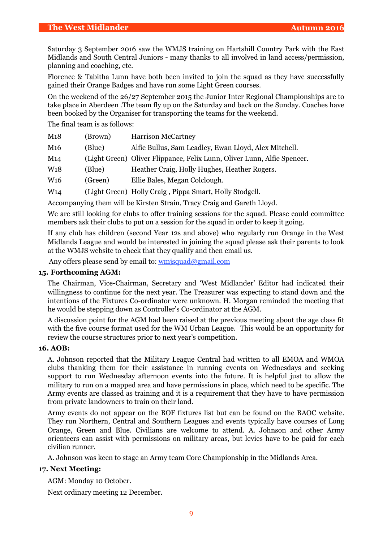Saturday 3 September 2016 saw the WMJS training on Hartshill Country Park with the East Midlands and South Central Juniors - many thanks to all involved in land access/permission, planning and coaching, etc.

Florence & Tabitha Lunn have both been invited to join the squad as they have successfully gained their Orange Badges and have run some Light Green courses.

On the weekend of the 26/27 September 2015 the Junior Inter Regional Championships are to take place in Aberdeen .The team fly up on the Saturday and back on the Sunday. Coaches have been booked by the Organiser for transporting the teams for the weekend.

The final team is as follows:

| M18                   | (Brown) | <b>Harrison McCartney</b>                                               |
|-----------------------|---------|-------------------------------------------------------------------------|
| M <sub>16</sub>       | (Blue)  | Alfie Bullus, Sam Leadley, Ewan Lloyd, Alex Mitchell.                   |
| M14                   |         | (Light Green) Oliver Flippance, Felix Lunn, Oliver Lunn, Alfie Spencer. |
| W <sub>18</sub>       | (Blue)  | Heather Craig, Holly Hughes, Heather Rogers.                            |
| <b>W<sub>16</sub></b> | (Green) | Ellie Bales, Megan Colclough.                                           |
| W <sub>14</sub>       |         | (Light Green) Holly Craig, Pippa Smart, Holly Stodgell.                 |

Accompanying them will be Kirsten Strain, Tracy Craig and Gareth Lloyd.

We are still looking for clubs to offer training sessions for the squad. Please could committee members ask their clubs to put on a session for the squad in order to keep it going.

If any club has children (second Year 12s and above) who regularly run Orange in the West Midlands League and would be interested in joining the squad please ask their parents to look at the WMJS website to check that they qualify and then email us.

Any offers please send by email to: [wmjsquad@gmail.com](mailto:wmjsquad@gmail.com)

#### **15. Forthcoming AGM:**

The Chairman, Vice-Chairman, Secretary and 'West Midlander' Editor had indicated their willingness to continue for the next year. The Treasurer was expecting to stand down and the intentions of the Fixtures Co-ordinator were unknown. H. Morgan reminded the meeting that he would be stepping down as Controller's Co-ordinator at the AGM.

A discussion point for the AGM had been raised at the previous meeting about the age class fit with the five course format used for the WM Urban League. This would be an opportunity for review the course structures prior to next year's competition.

#### **16. AOB:**

A. Johnson reported that the Military League Central had written to all EMOA and WMOA clubs thanking them for their assistance in running events on Wednesdays and seeking support to run Wednesday afternoon events into the future. It is helpful just to allow the military to run on a mapped area and have permissions in place, which need to be specific. The Army events are classed as training and it is a requirement that they have to have permission from private landowners to train on their land.

Army events do not appear on the BOF fixtures list but can be found on the BAOC website. They run Northern, Central and Southern Leagues and events typically have courses of Long Orange, Green and Blue. Civilians are welcome to attend. A. Johnson and other Army orienteers can assist with permissions on military areas, but levies have to be paid for each civilian runner.

A. Johnson was keen to stage an Army team Core Championship in the Midlands Area.

#### **17. Next Meeting:**

AGM: Monday 10 October.

Next ordinary meeting 12 December.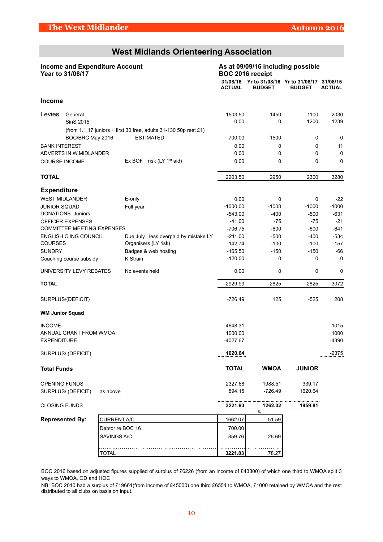## **West Midlands Orienteering Association**

|                      | <b>Income and Expenditure Account</b><br>Year to 31/08/17 |                    |                      |                                                                    |               | BOC 2016 receipt | As at 09/09/16 including possible                                |               |
|----------------------|-----------------------------------------------------------|--------------------|----------------------|--------------------------------------------------------------------|---------------|------------------|------------------------------------------------------------------|---------------|
|                      |                                                           |                    |                      |                                                                    | <b>ACTUAL</b> | <b>BUDGET</b>    | 31/08/16 Yr to 31/08/16 Yr to 31/08/17 31/08/15<br><b>BUDGET</b> | <b>ACTUAL</b> |
| <b>Income</b>        |                                                           |                    |                      |                                                                    |               |                  |                                                                  |               |
| Levies               | General                                                   |                    |                      |                                                                    | 1503.50       | 1450             | 1100                                                             | 2030          |
|                      | SinS 2015                                                 |                    |                      |                                                                    | 0.00          | 0                | 1200                                                             | 1239          |
|                      |                                                           |                    |                      | (from 1.1.17 juniors + first 30 free, adults $31-130$ 50p rest £1) |               |                  |                                                                  |               |
|                      | BOC/BRC May 2016                                          |                    | <b>ESTIMATED</b>     |                                                                    | 700.00        | 1500             | 0                                                                | 0             |
| <b>BANK INTEREST</b> |                                                           |                    |                      |                                                                    | 0.00          | 0                | 0                                                                | 11            |
|                      | ADVERTS IN W.MIDLANDER                                    |                    |                      |                                                                    | 0.00          | 0                | 0                                                                | 0             |
|                      | <b>COURSE INCOME</b>                                      |                    |                      | Ex BOF risk (LY $1st$ aid)                                         | 0.00          | 0                | 0                                                                | 0             |
| <b>TOTAL</b>         |                                                           |                    |                      |                                                                    | 2203.50       | 2950             | 2300                                                             | 3280          |
| <b>Expenditure</b>   |                                                           |                    |                      |                                                                    |               |                  |                                                                  |               |
|                      | <b>WEST MIDLANDER</b>                                     |                    | E-only               |                                                                    | 0.00          | 0                | 0                                                                | $-22$         |
| <b>JUNIOR SQUAD</b>  |                                                           |                    | Full year            |                                                                    | $-1000.00$    | $-1000$          | $-1000$                                                          | $-1000$       |
|                      | <b>DONATIONS Juniors</b>                                  |                    |                      |                                                                    | $-543.00$     | $-400$           | $-500$                                                           | $-631$        |
|                      | OFFICER EXPENSES                                          |                    |                      |                                                                    | $-41.00$      | $-75$            | $-75$                                                            | $-21$         |
|                      | <b>COMMITTEE MEETING EXPENSES</b>                         |                    |                      |                                                                    | $-706.75$     | $-600$           | $-600$                                                           | $-641$        |
|                      | ENGLISH O'ING COUNCIL                                     |                    |                      | Due July, less overpaid by mistake LY                              | $-211.00$     | $-500$           | $-400$                                                           | $-534$        |
| <b>COURSES</b>       |                                                           |                    | Organisers (LY risk) |                                                                    | $-142.74$     | $-100$           | $-100$                                                           | $-157$        |
| <b>SUNDRY</b>        |                                                           |                    | Badges & web hosting |                                                                    | $-165.50$     | $-150$           | $-150$                                                           | -66           |
|                      | Coaching course subsidy                                   |                    | K Strain             |                                                                    | $-120.00$     | 0                | 0                                                                | 0             |
|                      | UNIVERSITY LEVY REBATES                                   |                    | No events held       |                                                                    | 0.00          | 0                | 0                                                                | 0             |
| <b>TOTAL</b>         |                                                           |                    |                      |                                                                    | -2929.99      | $-2825$          | $-2825$                                                          | $-3072$       |
|                      | SURPLUS/(DEFICIT)                                         |                    |                      |                                                                    | $-726.49$     | 125              | $-525$                                                           | 208           |
|                      | <b>WM Junior Squad</b>                                    |                    |                      |                                                                    |               |                  |                                                                  |               |
| <b>INCOME</b>        |                                                           |                    |                      |                                                                    | 4648.31       |                  |                                                                  | 1015          |
|                      | ANNUAL GRANT FROM WMOA                                    |                    |                      |                                                                    | 1000.00       |                  |                                                                  | 1000          |
| <b>EXPENDITURE</b>   |                                                           |                    |                      |                                                                    | -4027.67      |                  |                                                                  | -4390         |
|                      | SURPLUS/ (DEFICIT)                                        |                    |                      |                                                                    | <br>1620.64   |                  |                                                                  | <br>$-2375$   |
| <b>Total Funds</b>   |                                                           |                    |                      |                                                                    | <b>TOTAL</b>  | <b>WMOA</b>      | <b>JUNIOR</b>                                                    |               |
|                      | <b>OPENING FUNDS</b>                                      |                    |                      |                                                                    | 2327.68       | 1988.51          | 339.17                                                           |               |
|                      | SURPLUS/ (DEFICIT)                                        | as above           |                      |                                                                    | 894.15        | $-726.49$        | 1620.64                                                          |               |
| <b>CLOSING FUNDS</b> |                                                           |                    |                      |                                                                    | 3221.83       | 1262.02<br>%     | 1959.81                                                          |               |
|                      | <b>Represented By:</b>                                    | <b>CURRENT A/C</b> |                      |                                                                    | 1662.07       | 51.59            |                                                                  |               |
|                      |                                                           | Debtor re BOC 16   |                      |                                                                    | 700.00        |                  |                                                                  |               |
|                      |                                                           | SAVINGS A/C        |                      |                                                                    | 859.76        | 26.69            |                                                                  |               |
|                      |                                                           | TOTAL              |                      |                                                                    | 3221.83       | 78.27            |                                                                  |               |

BOC 2016 based on adjusted figures supplied of surplus of £6226 (from an income of £43300) of which one third to WMOA split 3 ways to WMOA, OD and HOC

NB: BOC 2010 had a surplus of £19661(from income of £45000) one third £6554 to WMOA, £1000 retained by WMOA and the rest distributed to all clubs on basis on input.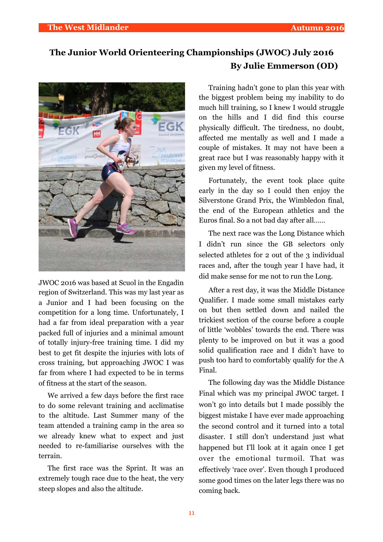## **The Junior World Orienteering Championships (JWOC) July 2016 By Julie Emmerson (OD)**



JWOC 2016 was based at Scuol in the Engadin region of Switzerland. This was my last year as a Junior and I had been focusing on the competition for a long time. Unfortunately, I had a far from ideal preparation with a year packed full of injuries and a minimal amount of totally injury-free training time. I did my best to get fit despite the injuries with lots of cross training, but approaching JWOC I was far from where I had expected to be in terms of fitness at the start of the season.

We arrived a few days before the first race to do some relevant training and acclimatise to the altitude. Last Summer many of the team attended a training camp in the area so we already knew what to expect and just needed to re-familiarise ourselves with the terrain.

The first race was the Sprint. It was an extremely tough race due to the heat, the very steep slopes and also the altitude.

Training hadn't gone to plan this year with the biggest problem being my inability to do much hill training, so I knew I would struggle on the hills and I did find this course physically difficult. The tiredness, no doubt, affected me mentally as well and I made a couple of mistakes. It may not have been a great race but I was reasonably happy with it given my level of fitness.

Fortunately, the event took place quite early in the day so I could then enjoy the Silverstone Grand Prix, the Wimbledon final, the end of the European athletics and the Euros final. So a not bad day after all……

The next race was the Long Distance which I didn't run since the GB selectors only selected athletes for 2 out of the 3 individual races and, after the tough year I have had, it did make sense for me not to run the Long.

After a rest day, it was the Middle Distance Qualifier. I made some small mistakes early on but then settled down and nailed the trickiest section of the course before a couple of little 'wobbles' towards the end. There was plenty to be improved on but it was a good solid qualification race and I didn't have to push too hard to comfortably qualify for the A Final.

The following day was the Middle Distance Final which was my principal JWOC target. I won't go into details but I made possibly the biggest mistake I have ever made approaching the second control and it turned into a total disaster. I still don't understand just what happened but I'll look at it again once I get over the emotional turmoil. That was effectively 'race over'. Even though I produced some good times on the later legs there was no coming back.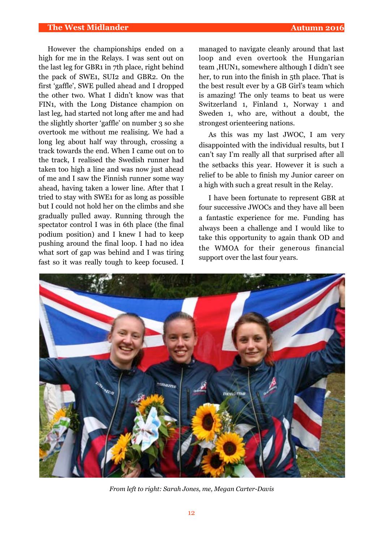#### **The West Midlander Autumn 2016**

However the championships ended on a high for me in the Relays. I was sent out on the last leg for GBR1 in 7th place, right behind the pack of SWE1, SUI2 and GBR2. On the first 'gaffle', SWE pulled ahead and I dropped the other two. What I didn't know was that FIN1, with the Long Distance champion on last leg, had started not long after me and had the slightly shorter 'gaffle' on number 3 so she overtook me without me realising. We had a long leg about half way through, crossing a track towards the end. When I came out on to the track, I realised the Swedish runner had taken too high a line and was now just ahead of me and I saw the Finnish runner some way ahead, having taken a lower line. After that I tried to stay with SWE1 for as long as possible but I could not hold her on the climbs and she gradually pulled away. Running through the spectator control I was in 6th place (the final podium position) and I knew I had to keep pushing around the final loop. I had no idea what sort of gap was behind and I was tiring fast so it was really tough to keep focused. I managed to navigate cleanly around that last loop and even overtook the Hungarian team ,HUN1, somewhere although I didn't see her, to run into the finish in 5th place. That is the best result ever by a GB Girl's team which is amazing! The only teams to beat us were Switzerland 1, Finland 1, Norway 1 and Sweden 1, who are, without a doubt, the strongest orienteering nations.

As this was my last JWOC, I am very disappointed with the individual results, but I can't say I'm really all that surprised after all the setbacks this year. However it is such a relief to be able to finish my Junior career on a high with such a great result in the Relay.

I have been fortunate to represent GBR at four successive JWOCs and they have all been a fantastic experience for me. Funding has always been a challenge and I would like to take this opportunity to again thank OD and the WMOA for their generous financial support over the last four years.



*From left to right: Sarah Jones, me, Megan Carter-Davis*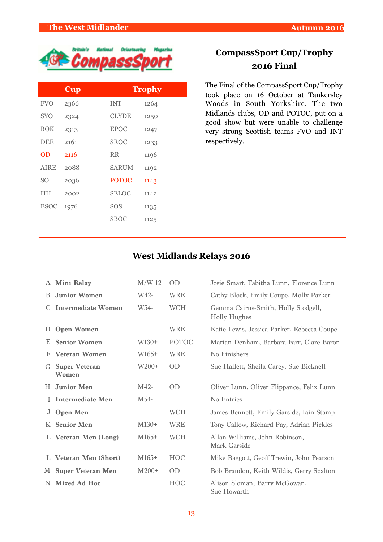

| <b>Cup</b> |              | Trophy |
|------------|--------------|--------|
| 2366       | <b>INT</b>   | 1264   |
| 2324       | <b>CLYDE</b> | 1250   |
| 2313       | <b>EPOC</b>  | 1247   |
| 2161       | <b>SROC</b>  | 1233   |
| 2116       | <b>RR</b>    | 1196   |
| 2088       | <b>SARUM</b> | 1192   |
| 2036       | <b>POTOC</b> | 1143   |
| 2002       | <b>SELOC</b> | 1142   |
| 1976       | <b>SOS</b>   | 1135   |
|            | <b>SBOC</b>  | 1125   |
|            |              |        |

## **CompassSport Cup/Trophy 2016 Final**

The Final of the CompassSport Cup/Trophy took place on 16 October at Tankersley Woods in South Yorkshire. The two Midlands clubs, OD and POTOC, put on a good show but were unable to challenge very strong Scottish teams FVO and INT respectively.

## **West Midlands Relays 2016**

|    | A Mini Relay                  | $M/W$ 12 | <b>OD</b>    | Josie Smart, Tabitha Lunn, Florence Lunn                   |
|----|-------------------------------|----------|--------------|------------------------------------------------------------|
| B. | <b>Junior Women</b>           | W42-     | <b>WRE</b>   | Cathy Block, Emily Coupe, Molly Parker                     |
| C. | <b>Intermediate Women</b>     | W54-     | <b>WCH</b>   | Gemma Cairns-Smith, Holly Stodgell,<br><b>Holly Hughes</b> |
| D  | <b>Open Women</b>             |          | <b>WRE</b>   | Katie Lewis, Jessica Parker, Rebecca Coupe                 |
| Е. | <b>Senior Women</b>           | $W130+$  | <b>POTOC</b> | Marian Denham, Barbara Farr, Clare Baron                   |
| F  | <b>Veteran Women</b>          | W165+    | <b>WRE</b>   | No Finishers                                               |
| G  | <b>Super Veteran</b><br>Women | W200+    | <b>OD</b>    | Sue Hallett, Sheila Carey, Sue Bicknell                    |
| H. | <b>Junior Men</b>             | $M42-$   | OD           | Oliver Lunn, Oliver Flippance, Felix Lunn                  |
|    | <b>Intermediate Men</b>       | M54-     |              | No Entries                                                 |
| J  | <b>Open Men</b>               |          | <b>WCH</b>   | James Bennett, Emily Garside, Iain Stamp                   |
| K  | <b>Senior Men</b>             | $M130+$  | <b>WRE</b>   | Tony Callow, Richard Pay, Adrian Pickles                   |
|    | L Veteran Men (Long)          | $M165+$  | <b>WCH</b>   | Allan Williams, John Robinson,<br>Mark Garside             |
|    | L Veteran Men (Short)         | $M165+$  | <b>HOC</b>   | Mike Baggott, Geoff Trewin, John Pearson                   |
| M  | <b>Super Veteran Men</b>      | $M200+$  | <b>OD</b>    | Bob Brandon, Keith Wildis, Gerry Spalton                   |
| N. | Mixed Ad Hoc                  |          | <b>HOC</b>   | Alison Sloman, Barry McGowan,<br>Sue Howarth               |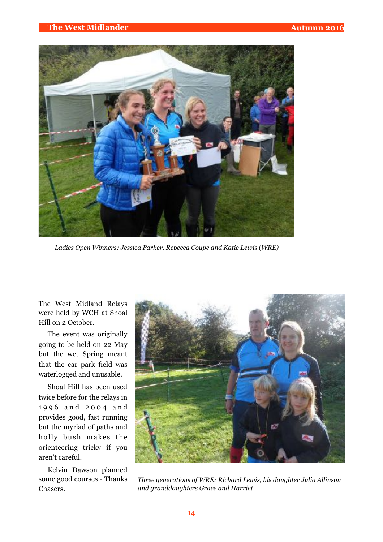

*Ladies Open Winners: Jessica Parker, Rebecca Coupe and Katie Lewis (WRE)*

The West Midland Relays were held by WCH at Shoal Hill on 2 October.

The event was originally going to be held on 22 May but the wet Spring meant that the car park field was waterlogged and unusable.

Shoal Hill has been used twice before for the relays in 1 9 9 6 a n d 2 0 0 4 a n d provides good, fast running but the myriad of paths and holly bush makes the orienteering tricky if you aren't careful.

Kelvin Dawson planned some good courses - Thanks Chasers.



*Three generations of WRE: Richard Lewis, his daughter Julia Allinson and granddaughters Grace and Harriet*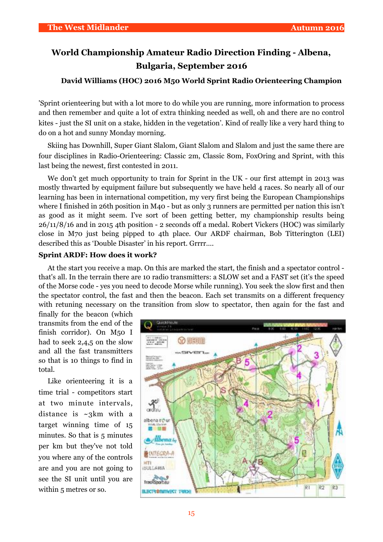## **World Championship Amateur Radio Direction Finding - Albena, Bulgaria, September 2016**

#### **David Williams (HOC) 2016 M50 World Sprint Radio Orienteering Champion**

'Sprint orienteering but with a lot more to do while you are running, more information to process and then remember and quite a lot of extra thinking needed as well, oh and there are no control kites - just the SI unit on a stake, hidden in the vegetation'. Kind of really like a very hard thing to do on a hot and sunny Monday morning.

Skiing has Downhill, Super Giant Slalom, Giant Slalom and Slalom and just the same there are four disciplines in Radio-Orienteering: Classic 2m, Classic 80m, FoxOring and Sprint, with this last being the newest, first contested in 2011.

We don't get much opportunity to train for Sprint in the UK - our first attempt in 2013 was mostly thwarted by equipment failure but subsequently we have held 4 races. So nearly all of our learning has been in international competition, my very first being the European Championships where I finished in 26th position in M40 - but as only 3 runners are permitted per nation this isn't as good as it might seem. I've sort of been getting better, my championship results being 26/11/8/16 and in 2015 4th position - 2 seconds off a medal. Robert Vickers (HOC) was similarly close in M70 just being pipped to 4th place. Our ARDF chairman, Bob Titterington (LEI) described this as 'Double Disaster' in his report. Grrrr….

#### **Sprint ARDF: How does it work?**

At the start you receive a map. On this are marked the start, the finish and a spectator control that's all. In the terrain there are 10 radio transmitters: a SLOW set and a FAST set (it's the speed of the Morse code - yes you need to decode Morse while running). You seek the slow first and then the spectator control, the fast and then the beacon. Each set transmits on a different frequency with retuning necessary on the transition from slow to spectator, then again for the fast and

finally for the beacon (which transmits from the end of the finish corridor). On M50 I had to seek 2,4,5 on the slow and all the fast transmitters so that is 10 things to find in total.

Like orienteering it is a time trial - competitors start at two minute intervals, distance is  $\sim$ 3km with a target winning time of 15 minutes. So that is 5 minutes per km but they've not told you where any of the controls are and you are not going to see the SI unit until you are within 5 metres or so.

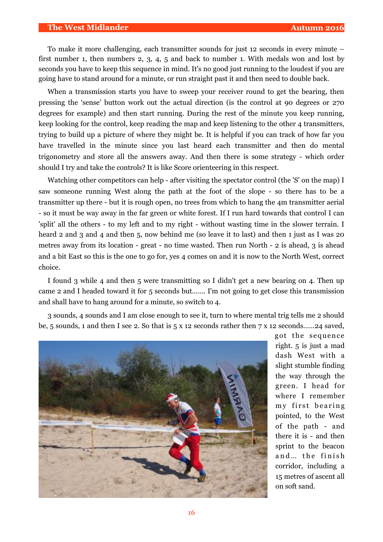#### **The West Midlander Autumn 2016**

To make it more challenging, each transmitter sounds for just 12 seconds in every minute – first number 1, then numbers 2, 3, 4, 5 and back to number 1. With medals won and lost by seconds you have to keep this sequence in mind. It's no good just running to the loudest if you are going have to stand around for a minute, or run straight past it and then need to double back.

When a transmission starts you have to sweep your receiver round to get the bearing, then pressing the 'sense' button work out the actual direction (is the control at 90 degrees or 270 degrees for example) and then start running. During the rest of the minute you keep running, keep looking for the control, keep reading the map and keep listening to the other 4 transmitters, trying to build up a picture of where they might be. It is helpful if you can track of how far you have travelled in the minute since you last heard each transmitter and then do mental trigonometry and store all the answers away. And then there is some strategy - which order should I try and take the controls? It is like Score orienteering in this respect.

Watching other competitors can help - after visiting the spectator control (the 'S' on the map) I saw someone running West along the path at the foot of the slope - so there has to be a transmitter up there - but it is rough open, no trees from which to hang the 4m transmitter aerial - so it must be way away in the far green or white forest. If I run hard towards that control I can 'split' all the others - to my left and to my right - without wasting time in the slower terrain. I heard 2 and 3 and 4 and then 5, now behind me (so leave it to last) and then 1 just as I was 20 metres away from its location - great - no time wasted. Then run North - 2 is ahead, 3 is ahead and a bit East so this is the one to go for, yes 4 comes on and it is now to the North West, correct choice.

I found 3 while 4 and then 5 were transmitting so I didn't get a new bearing on 4. Then up came 2 and I headed toward it for 5 seconds but……. I'm not going to get close this transmission and shall have to hang around for a minute, so switch to 4.

3 sounds, 4 sounds and I am close enough to see it, turn to where mental trig tells me 2 should be, 5 sounds, 1 and then I see 2. So that is 5 x 12 seconds rather then 7 x 12 seconds……24 saved,



got the sequence right. 5 is just a mad dash West with a slight stumble finding the way through the green. I head for where I remember my first bearing pointed, to the West of the path - and there it is - and then sprint to the beacon and... the finish corridor, including a 15 metres of ascent all on soft sand.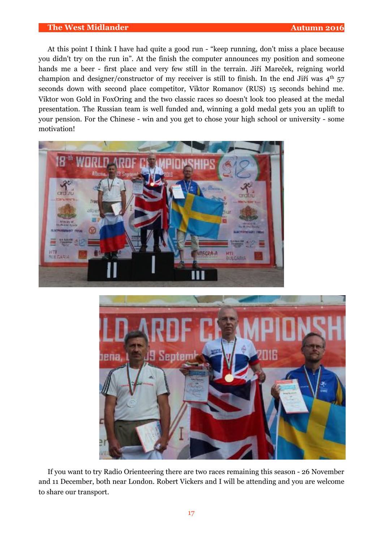#### **The West Midlander Autumn 2016**

At this point I think I have had quite a good run - "keep running, don't miss a place because you didn't try on the run in". At the finish the computer announces my position and someone hands me a beer - first place and very few still in the terrain. Jiří Mareček, reigning world champion and designer/constructor of my receiver is still to finish. In the end Jiří was  $4<sup>th</sup> 57$ seconds down with second place competitor, Viktor Romanov (RUS) 15 seconds behind me. Viktor won Gold in FoxOring and the two classic races so doesn't look too pleased at the medal presentation. The Russian team is well funded and, winning a gold medal gets you an uplift to your pension. For the Chinese - win and you get to chose your high school or university - some motivation!





If you want to try Radio Orienteering there are two races remaining this season - 26 November and 11 December, both near London. Robert Vickers and I will be attending and you are welcome to share our transport.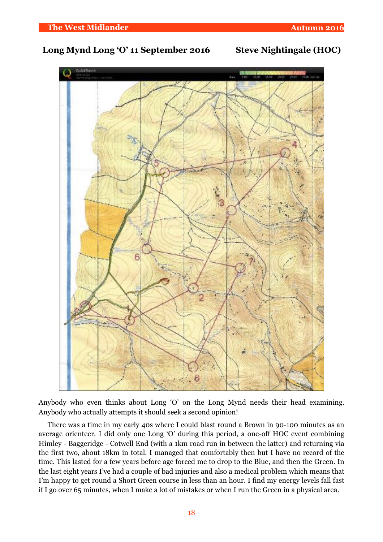## **Long Mynd Long 'O' 11 September 2016 Steve Nightingale (HOC)**



Anybody who even thinks about Long 'O' on the Long Mynd needs their head examining. Anybody who actually attempts it should seek a second opinion!

There was a time in my early 40s where I could blast round a Brown in 90-100 minutes as an average orienteer. I did only one Long 'O' during this period, a one-off HOC event combining Himley - Baggeridge - Cotwell End (with a 1km road run in between the latter) and returning via the first two, about 18km in total. I managed that comfortably then but I have no record of the time. This lasted for a few years before age forced me to drop to the Blue, and then the Green. In the last eight years I've had a couple of bad injuries and also a medical problem which means that I'm happy to get round a Short Green course in less than an hour. I find my energy levels fall fast if I go over 65 minutes, when I make a lot of mistakes or when I run the Green in a physical area.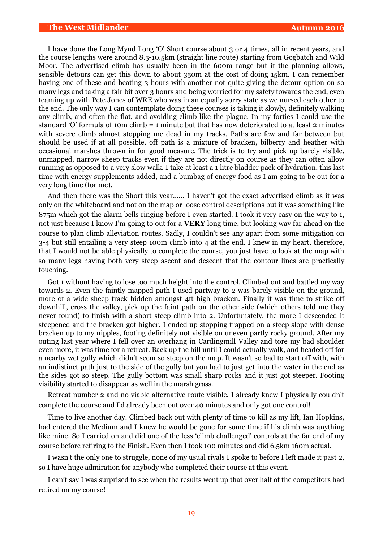#### **The West Midlander Autumn 2016**

I have done the Long Mynd Long 'O' Short course about 3 or 4 times, all in recent years, and the course lengths were around 8.5-10.5km (straight line route) starting from Gogbatch and Wild Moor. The advertised climb has usually been in the 600m range but if the planning allows, sensible detours can get this down to about 350m at the cost of doing 15km. I can remember having one of these and beating 3 hours with another not quite giving the detour option on so many legs and taking a fair bit over 3 hours and being worried for my safety towards the end, even teaming up with Pete Jones of WRE who was in an equally sorry state as we nursed each other to the end. The only way I can contemplate doing these courses is taking it slowly, definitely walking any climb, and often the flat, and avoiding climb like the plague. In my forties I could use the standard 'O' formula of 10m climb = 1 minute but that has now deteriorated to at least 2 minutes with severe climb almost stopping me dead in my tracks. Paths are few and far between but should be used if at all possible, off path is a mixture of bracken, bilberry and heather with occasional marshes thrown in for good measure. The trick is to try and pick up barely visible, unmapped, narrow sheep tracks even if they are not directly on course as they can often allow running as opposed to a very slow walk. I take at least a 1 litre bladder pack of hydration, this last time with energy supplements added, and a bumbag of energy food as I am going to be out for a very long time (for me).

And then there was the Short this year…… I haven't got the exact advertised climb as it was only on the whiteboard and not on the map or loose control descriptions but it was something like 875m which got the alarm bells ringing before I even started. I took it very easy on the way to 1, not just because I know I'm going to out for a **VERY** long time, but looking way far ahead on the course to plan climb alleviation routes. Sadly, I couldn't see any apart from some mitigation on 3-4 but still entailing a very steep 100m climb into 4 at the end. I knew in my heart, therefore, that I would not be able physically to complete the course, you just have to look at the map with so many legs having both very steep ascent and descent that the contour lines are practically touching.

Got 1 without having to lose too much height into the control. Climbed out and battled my way towards 2. Even the faintly mapped path I used partway to 2 was barely visible on the ground, more of a wide sheep track hidden amongst 4ft high bracken. Finally it was time to strike off downhill, cross the valley, pick up the faint path on the other side (which others told me they never found) to finish with a short steep climb into 2. Unfortunately, the more I descended it steepened and the bracken got higher. I ended up stopping trapped on a steep slope with dense bracken up to my nipples, footing definitely not visible on uneven partly rocky ground. After my outing last year where I fell over an overhang in Cardingmill Valley and tore my bad shoulder even more, it was time for a retreat. Back up the hill until I could actually walk, and headed off for a nearby wet gully which didn't seem so steep on the map. It wasn't so bad to start off with, with an indistinct path just to the side of the gully but you had to just get into the water in the end as the sides got so steep. The gully bottom was small sharp rocks and it just got steeper. Footing visibility started to disappear as well in the marsh grass.

Retreat number 2 and no viable alternative route visible. I already knew I physically couldn't complete the course and I'd already been out over 40 minutes and only got one control!

Time to live another day. Climbed back out with plenty of time to kill as my lift, Ian Hopkins, had entered the Medium and I knew he would be gone for some time if his climb was anything like mine. So I carried on and did one of the less 'climb challenged' controls at the far end of my course before retiring to the Finish. Even then I took 100 minutes and did 6.5km 160m actual.

I wasn't the only one to struggle, none of my usual rivals I spoke to before I left made it past 2, so I have huge admiration for anybody who completed their course at this event.

I can't say I was surprised to see when the results went up that over half of the competitors had retired on my course!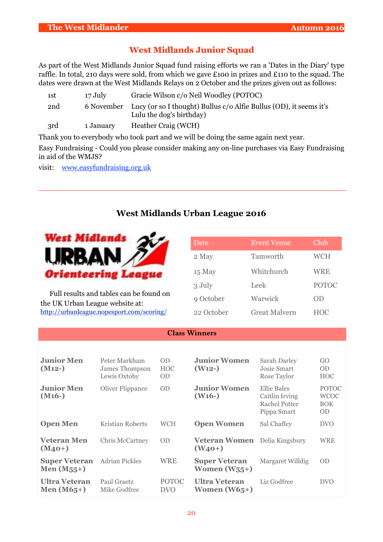## **West Midlands Junior Squad**

As part of the West Midlands Junior Squad fund raising efforts we ran a 'Dates in the Diary' type raffle. In total, 210 days were sold, from which we gave £100 in prizes and £110 to the squad. The dates were drawn at the West Midlands Relays on 2 October and the prizes given out as follows:

| 1st | 17 July   | Gracie Wilson c/o Neil Woodley (POTOC)                                                                    |
|-----|-----------|-----------------------------------------------------------------------------------------------------------|
| 2nd |           | 6 November Lucy (or so I thought) Bullus c/o Alfie Bullus (OD), it seems it's<br>Lulu the dog's birthday) |
| 3rd | 1 January | Heather Craig (WCH)                                                                                       |

Thank you to everybody who took part and we will be doing the same again next year.

Easy Fundraising - Could you please consider making any on-line purchases via Easy Fundraising in aid of the WMJS?

visit: [www.easyfundraising.org.uk](http://www.easyfundraising.org.uk/)

## **West Midlands Urban League 2016**



Full results and tables can be found on the UK Urban League website at: <http://urbanleague.nopesport.com/scoring/>

| Date       | <b>Event Venue</b>   | Club         |
|------------|----------------------|--------------|
| 2 May      | Tamworth             | <b>WCH</b>   |
| $15$ May   | Whitchurch           | WRE          |
| 3 July     | Leek                 | <b>POTOC</b> |
| 9 October  | Warwick              | OD           |
| 22 October | <b>Great Malvern</b> | HOC          |

#### **Class Winners**

| <b>Junior Men</b><br>$(M12-)$           | Peter Markham<br>James Thompson<br>Lewis Oxtoby | <b>OD</b><br><b>HOC</b><br><b>OD</b> | <b>Junior Women</b><br>(W <sub>12</sub> )           | <b>Sarah Darley</b><br>Josie Smart<br>Rose Taylor             | GO<br><b>OD</b><br><b>HOC</b>                          |
|-----------------------------------------|-------------------------------------------------|--------------------------------------|-----------------------------------------------------|---------------------------------------------------------------|--------------------------------------------------------|
| <b>Junior Men</b><br>$(M16-)$           | Oliver Flippance                                | <b>OD</b>                            | <b>Junior Women</b><br>$(W16-)$                     | Ellie Bales<br>Caitlin Irving<br>Rachel Potter<br>Pippa Smart | <b>POTOC</b><br><b>WCOC</b><br><b>BOK</b><br><b>OD</b> |
| <b>Open Men</b>                         | Kristian Roberts                                | <b>WCH</b>                           | <b>Open Women</b>                                   | Sal Chaffey                                                   | <b>DVO</b>                                             |
| <b>Veteran Men</b><br>$(M_{40+})$       | Chris McCartney                                 | <b>OD</b>                            | <b>Veteran Women</b> Delia Kingsbury<br>$(W_{40+})$ |                                                               | <b>WRE</b>                                             |
| <b>Super Veteran</b><br>Men $(M_{55}+)$ | <b>Adrian Pickles</b>                           | WRE                                  | <b>Super Veteran</b><br>Women $(W_{55}+)$           | Margaret Willdig                                              | <b>OD</b>                                              |
| <b>Ultra Veteran</b><br>Men $(M65+)$    | Paul Graetz<br>Mike Godfree                     | <b>POTOC</b><br><b>DVO</b>           | <b>Ultra Veteran</b><br>Women $(W65+)$              | Liz Godfree                                                   | <b>DVO</b>                                             |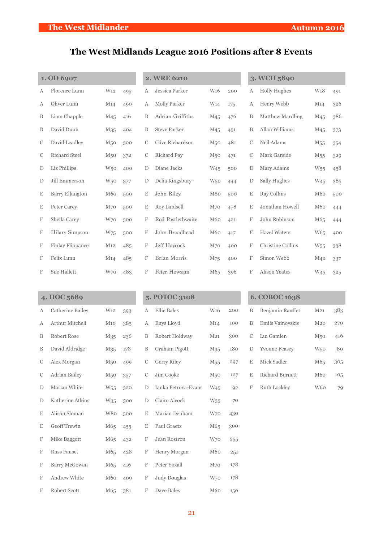# **The West Midlands League 2016 Positions after 8 Events**

|   | 1. OD 6907             |                 |     | <b>2. WRE 6210</b> |                     |                 | 3. WCH 5890 |               |                      |                 |     |
|---|------------------------|-----------------|-----|--------------------|---------------------|-----------------|-------------|---------------|----------------------|-----------------|-----|
| Α | Florence Lunn          | W <sub>12</sub> | 495 | А                  | Jessica Parker      | W <sub>16</sub> | 200         | А             | <b>Holly Hughes</b>  | W <sub>18</sub> | 491 |
| Α | Oliver Lunn            | M14             | 490 | Α                  | Molly Parker        | W <sub>14</sub> | 175         | А             | Henry Webb           | M <sub>14</sub> | 326 |
| B | Liam Chapple           | M <sub>45</sub> | 416 | B                  | Adrian Griffiths    | M <sub>45</sub> | 476         | B             | Matthew Mardling     | M <sub>45</sub> | 386 |
| B | David Dunn             | M <sub>35</sub> | 404 | B                  | <b>Steve Parker</b> | M <sub>45</sub> | 451         | B             | Allan Williams       | M <sub>45</sub> | 373 |
| С | David Leadley          | M <sub>50</sub> | 500 | С                  | Clive Richardson    | M <sub>50</sub> | 481         | C             | Neil Adams           | M <sub>55</sub> | 354 |
| С | <b>Richard Steel</b>   | M <sub>50</sub> | 372 | С                  | Richard Pay         | M <sub>50</sub> | 471         | C             | Mark Garside         | M <sub>55</sub> | 329 |
| D | Liz Phillips           | W <sub>50</sub> | 400 | D                  | Diane Jacks         | W <sub>45</sub> | 500         | D             | Mary Adams           | W <sub>55</sub> | 458 |
| D | Jill Emmerson          | W <sub>50</sub> | 377 | D                  | Delia Kingsbury     | W <sub>50</sub> | 444         | D             | Sally Hughes         | W <sub>45</sub> | 385 |
| Ε | <b>Barry Elkington</b> | M60             | 500 | Ε                  | John Riley          | M80             | 500         | Ε             | Ray Collins          | M <sub>60</sub> | 500 |
| Ε | Peter Carey            | M <sub>70</sub> | 500 | E                  | Roy Lindsell        | M <sub>70</sub> | 478         | Ε             | Jonathan Howell      | M60             | 444 |
| F | Sheila Carey           | W70             | 500 | F                  | Rod Postlethwaite   | M60             | 421         | F             | John Robinson        | M65             | 444 |
| F | Hilary Simpson         | W75             | 500 | F                  | John Broadhead      | M60             | 417         | F             | <b>Hazel Waters</b>  | W65             | 400 |
| F | Finlay Flippance       | M <sub>12</sub> | 485 | F                  | Jeff Haycock        | M70             | 400         | F             | Christine Collins    | W <sub>55</sub> | 338 |
| F | Felix Lunn             | M <sub>14</sub> | 485 | F                  | Brian Morris        | M75             | 400         | F             | Simon Webb           | M40             | 337 |
| F | Sue Hallett            | W70             | 483 | F                  | Peter Howsam        | M65             | 396         | F             | <b>Alison Yeates</b> | W <sub>45</sub> | 325 |
|   |                        |                 |     |                    |                     |                 |             |               |                      |                 |     |
|   | 4. HOC 5689            |                 |     | 5. POTOC 3108      |                     |                 |             | 6. COBOC 1638 |                      |                 |     |
| Α | Catherine Bailey       | W <sub>12</sub> | 393 | А                  | <b>Ellie Bales</b>  | W <sub>16</sub> | 200         | B             | Benjamin Rauffet     | M <sub>21</sub> | 383 |
| Α | Arthur Mitchell        | $M_{10}$        | 385 | Α                  | Enys Lloyd          | M <sub>14</sub> | 100         | B             | Emils Vainovskis     | $M_{20}$        | 270 |
| B | Robert Rose            | M <sub>35</sub> | 236 | B                  | Robert Holdway      | M <sub>21</sub> | 300         | С             | Ian Gamlen           | M <sub>50</sub> | 416 |
| B | David Aldridge         | M <sub>35</sub> | 178 | B                  | Graham Pigott       | M <sub>35</sub> | 180         | D             | <b>Yvonne Feasey</b> | W <sub>50</sub> | 80  |
| C | Alex Morgan            | M <sub>50</sub> | 499 | С                  | Gerry Riley         | M <sub>55</sub> | 297         | Ε             | Mick Sadler          | M65             | 305 |
| C | Adrian Bailey          | M <sub>50</sub> | 357 | С                  | Jim Cooke           | M <sub>50</sub> | 127         | $\mathbf E$   | Richard Burnett      | M60             | 105 |
| D | Marian White           | W <sub>55</sub> | 320 | D                  | Ianka Petrova-Evans | W <sub>45</sub> | 92          | F             | Ruth Lockley         | W60             | 79  |
| D | Katherine Atkins       | W35             | 300 | D                  | Claire Alcock       | W35             | 70          |               |                      |                 |     |
| Ε | Alison Sloman          | W80             | 500 | Ε                  | Marian Denham       | W70             | 430         |               |                      |                 |     |
| Ε | Geoff Trewin           | M65             | 455 | Ε                  | Paul Graetz         | M65             | 300         |               |                      |                 |     |
| F | Mike Baggott           | M65             | 432 | F                  | Jean Rostron        | W70             | 255         |               |                      |                 |     |
| F | Russ Fauset            | M65             | 428 | F                  | Henry Morgan        | M60             | 251         |               |                      |                 |     |
| F | Barry McGowan          | M65             | 416 | $\mathbf F$        | Peter Yoxall        | M <sub>70</sub> | 178         |               |                      |                 |     |

F Andrew White M60 409 F Judy Douglas W70 178 F Robert Scott M65 381 F Dave Bales M60 150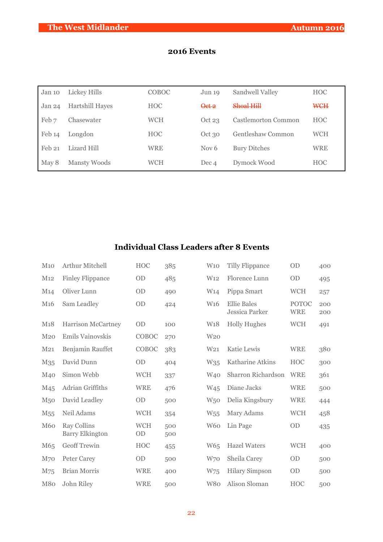| Jan 10 | Lickey Hills    | COBOC      | Jun 19           | Sandwell Valley     | <b>HOC</b> |
|--------|-----------------|------------|------------------|---------------------|------------|
| Jan 24 | Hartshill Hayes | <b>HOC</b> | Qct 2            | $Shoa$ l Hill       | <b>WCH</b> |
| Feb 7  | Chasewater      | <b>WCH</b> | Oct 23           | Castlemorton Common | <b>HOC</b> |
| Feb 14 | Longdon         | <b>HOC</b> | Oct 30           | Gentleshaw Common   | <b>WCH</b> |
| Feb 21 | Lizard Hill     | WRE        | Nov <sub>6</sub> | <b>Bury Ditches</b> | <b>WRE</b> |
| May 8  | Mansty Woods    | WCH        | Dec 4            | Dymock Wood         | <b>HOC</b> |

## **2016 Events**

## **Individual Class Leaders after 8 Events**

| M10             | Arthur Mitchell                              | HOC              | 385        | W10             | <b>Tilly Flippance</b>               | <b>OD</b>                  | 400        |
|-----------------|----------------------------------------------|------------------|------------|-----------------|--------------------------------------|----------------------------|------------|
| M12             | <b>Finley Flippance</b>                      | <b>OD</b>        | 485        | W <sub>12</sub> | Florence Lunn                        | OD                         | 495        |
| M <sub>14</sub> | Oliver Lunn                                  | <b>OD</b>        | 490        | W <sub>14</sub> | Pippa Smart                          | <b>WCH</b>                 | 257        |
| M <sub>16</sub> | Sam Leadley                                  | <b>OD</b>        | 424        | W <sub>16</sub> | <b>Ellie Bales</b><br>Jessica Parker | <b>POTOC</b><br><b>WRE</b> | 200<br>200 |
| M18             | Harrison McCartney                           | <b>OD</b>        | 100        | W <sub>18</sub> | <b>Holly Hughes</b>                  | <b>WCH</b>                 | 491        |
| M <sub>20</sub> | Emils Vainovskis                             | COBOC            | 270        | W <sub>20</sub> |                                      |                            |            |
| M <sub>21</sub> | Benjamin Rauffet                             | COBOC            | 383        | W <sub>21</sub> | Katie Lewis                          | <b>WRE</b>                 | 380        |
| M <sub>35</sub> | David Dunn                                   | <b>OD</b>        | 404        | W35             | Katharine Atkins                     | <b>HOC</b>                 | 300        |
| M40             | Simon Webb                                   | <b>WCH</b>       | 337        | W <sub>40</sub> | Sharron Richardson                   | <b>WRE</b>                 | 361        |
| M <sub>45</sub> | Adrian Griffiths                             | <b>WRE</b>       | 476        | W <sub>45</sub> | Diane Jacks                          | <b>WRE</b>                 | 500        |
| M <sub>50</sub> | David Leadley                                | OD               | 500        | W <sub>50</sub> | Delia Kingsbury                      | <b>WRE</b>                 | 444        |
| M <sub>55</sub> | Neil Adams                                   | <b>WCH</b>       | 354        | W <sub>55</sub> | Mary Adams                           | <b>WCH</b>                 | 458        |
| <b>M60</b>      | <b>Ray Collins</b><br><b>Barry Elkington</b> | <b>WCH</b><br>OD | 500<br>500 | W <sub>60</sub> | Lin Page                             | OD                         | 435        |
| M65             | <b>Geoff Trewin</b>                          | HOC              | 455        | W <sub>65</sub> | <b>Hazel Waters</b>                  | <b>WCH</b>                 | 400        |
| M <sub>70</sub> | <b>Peter Carey</b>                           | OD               | 500        | W70             | Sheila Carey                         | OD                         | 500        |
| M75             | <b>Brian Morris</b>                          | <b>WRE</b>       | 400        | W75             | <b>Hilary Simpson</b>                | OD                         | 500        |
| M80             | John Riley                                   | <b>WRE</b>       | 500        | W <sub>80</sub> | Alison Sloman                        | <b>HOC</b>                 | 500        |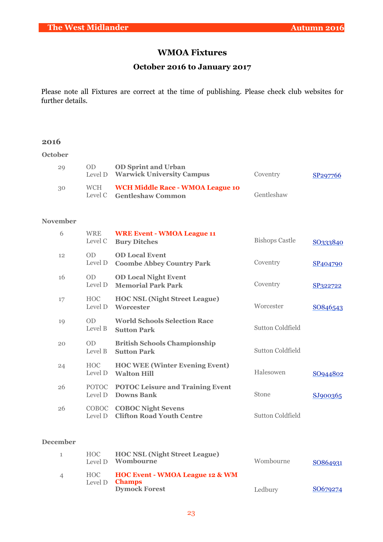## **WMOA Fixtures**

### **October 2016 to January 2017**

Please note all Fixtures are correct at the time of publishing. Please check club websites for further details.

#### **2016**

**October**

| 29 | OD.        | <b>OD Sprint and Urban</b><br>Level D Warwick University Campus      | Coventry   | SP <sub>297766</sub> |
|----|------------|----------------------------------------------------------------------|------------|----------------------|
| 30 | <b>WCH</b> | <b>WCH Middle Race - WMOA League 10</b><br>Level C Gentleshaw Common | Gentleshaw |                      |

#### **November**

| 6               | <b>WRE</b><br>Level C   | <b>WRE Event - WMOA League 11</b><br><b>Bury Ditches</b>      | <b>Bishops Castle</b>   | SO333840 |
|-----------------|-------------------------|---------------------------------------------------------------|-------------------------|----------|
| 12              | <b>OD</b><br>Level D    | <b>OD Local Event</b><br><b>Coombe Abbey Country Park</b>     | Coventry                | SP404790 |
| 16              | <b>OD</b><br>Level D    | <b>OD Local Night Event</b><br><b>Memorial Park Park</b>      | Coventry                | SP322722 |
| 17              | <b>HOC</b><br>Level D   | <b>HOC NSL (Night Street League)</b><br>Worcester             | Worcester               | SO846543 |
| 19              | <b>OD</b><br>Level B    | <b>World Schools Selection Race</b><br><b>Sutton Park</b>     | <b>Sutton Coldfield</b> |          |
| 20              | <b>OD</b><br>Level B    | <b>British Schools Championship</b><br><b>Sutton Park</b>     | <b>Sutton Coldfield</b> |          |
| 24              | <b>HOC</b><br>Level D   | <b>HOC WEE (Winter Evening Event)</b><br><b>Walton Hill</b>   | Halesowen               | SO944802 |
| 26              | <b>POTOC</b><br>Level D | <b>POTOC Leisure and Training Event</b><br>Downs Bank         | Stone                   | SJ900365 |
| 26              | COBOC<br>Level D        | <b>COBOC Night Sevens</b><br><b>Clifton Road Youth Centre</b> | <b>Sutton Coldfield</b> |          |
| <b>December</b> |                         |                                                               |                         |          |
| $\mathbf{1}$    | <b>HOC</b>              | <b>HOC NSL (Night Street League)</b>                          |                         |          |

|                          | Level D <b>Wombourne</b>                                                                          | Wombourne | SO864931 |
|--------------------------|---------------------------------------------------------------------------------------------------|-----------|----------|
| $\overline{\mathcal{A}}$ | HOC <b>HOC Event - WMOA League 12 &amp; WM</b><br>Level $D$ <b>Champs</b><br><b>Dymock Forest</b> | Ledbury   | SO679274 |
|                          |                                                                                                   |           |          |